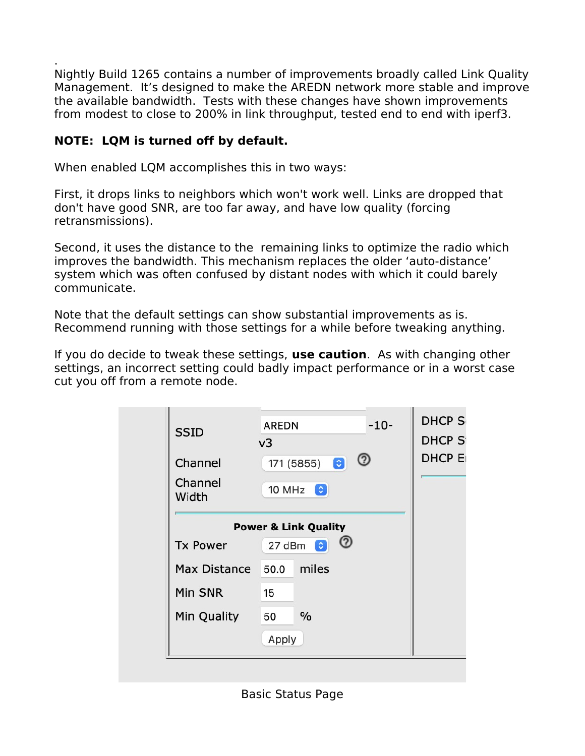. Nightly Build 1265 contains a number of improvements broadly called Link Quality Management. It's designed to make the AREDN network more stable and improve the available bandwidth. Tests with these changes have shown improvements from modest to close to 200% in link throughput, tested end to end with iperf3.

## **NOTE: LQM is turned off by default.**

When enabled LQM accomplishes this in two ways:

First, it drops links to neighbors which won't work well. Links are dropped that don't have good SNR, are too far away, and have low quality (forcing retransmissions).

Second, it uses the distance to the remaining links to optimize the radio which improves the bandwidth. This mechanism replaces the older 'auto-distance' system which was often confused by distant nodes with which it could barely communicate.

Note that the default settings can show substantial improvements as is. Recommend running with those settings for a while before tweaking anything.

If you do decide to tweak these settings, **use caution**. As with changing other settings, an incorrect setting could badly impact performance or in a worst case cut you off from a remote node.

| <b>SSID</b>         | v3<br>℗                         |
|---------------------|---------------------------------|
| Channel             | $\bullet$<br>171 (5855)         |
| Channel<br>Width    | 10 MHz $\bullet$                |
|                     | <b>Power &amp; Link Quality</b> |
| <b>Tx Power</b>     | 27 dBm<br>$\bullet$             |
| <b>Max Distance</b> | miles<br>50.0                   |
| Min SNR             | 15                              |
| Min Quality         | $\frac{0}{0}$<br>50             |
|                     | Apply                           |

Basic Status Page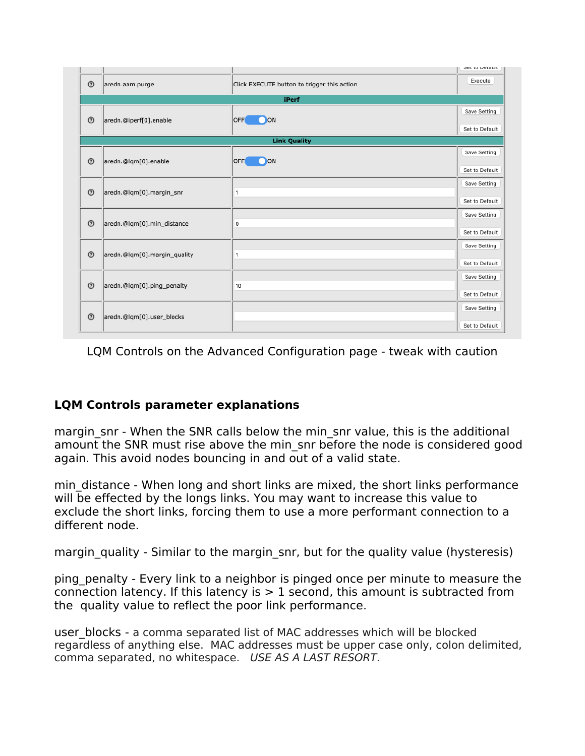

LQM Controls on the Advanced Configuration page - tweak with caution

## **LQM Controls parameter explanations**

margin snr - When the SNR calls below the min snr value, this is the additional amount the SNR must rise above the min\_snr before the node is considered good again. This avoid nodes bouncing in and out of a valid state.

min distance - When long and short links are mixed, the short links performance will be effected by the longs links. You may want to increase this value to exclude the short links, forcing them to use a more performant connection to a different node.

margin quality - Similar to the margin snr, but for the quality value (hysteresis)

ping\_penalty - Every link to a neighbor is pinged once per minute to measure the connection latency. If this latency is  $> 1$  second, this amount is subtracted from the quality value to reflect the poor link performance.

user blocks - a comma separated list of MAC addresses which will be blocked regardless of anything else. MAC addresses must be upper case only, colon delimited, comma separated, no whitespace. USE AS A LAST RESORT.